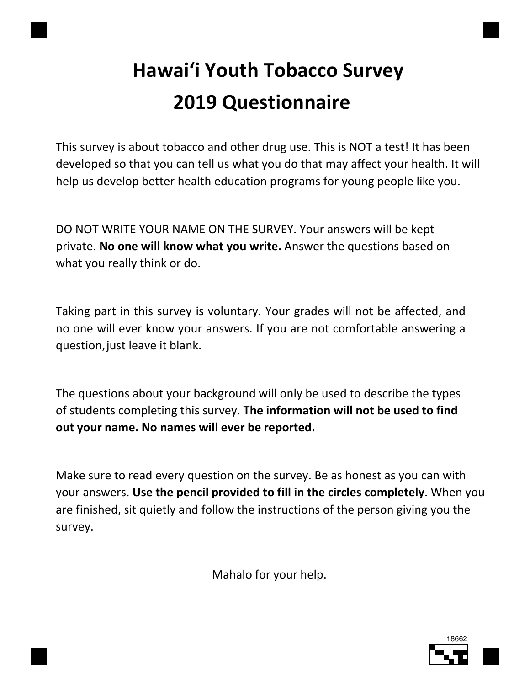# Hawai'i Youth Tobacco Survey 2019 Questionnaire

This survey is about tobacco and other drug use. This is NOT a test! It has been developed so that you can tell us what you do that may affect your health. It will help us develop better health education programs for young people like you.

DO NOT WRITE YOUR NAME ON THE SURVEY. Your answers will be kept private. No one will know what you write. Answer the questions based on what you really think or do.

Taking part in this survey is voluntary. Your grades will not be affected, and no one will ever know your answers. If you are not comfortable answering a question, just leave it blank.

The questions about your background will only be used to describe the types of students completing this survey. The information will not be used to find out your name. No names will ever be reported.

Make sure to read every question on the survey. Be as honest as you can with your answers. Use the pencil provided to fill in the circles completely. When you are finished, sit quietly and follow the instructions of the person giving you the survey.

Mahalo for your help.

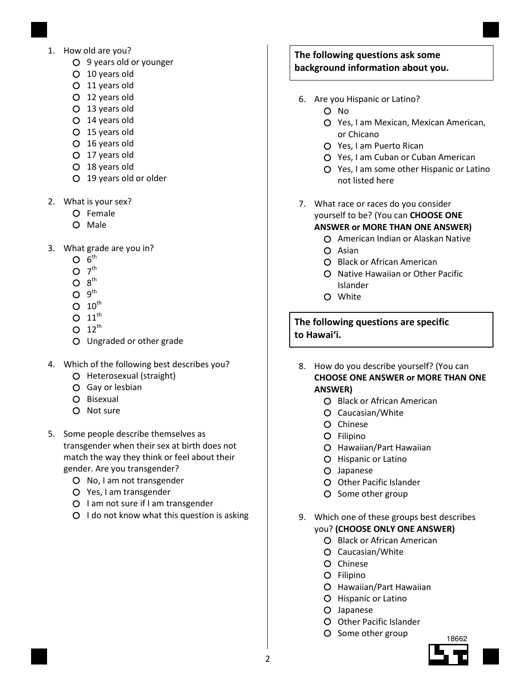- 1. How old are you?
	- 9 years old or younger
	- 10 years old
	- 11 years old
	- 12 years old
	- 13 years old
	- 14 years old
	- 15 years old
	- 16 years old
	- 17 years old
	- 18 years old
	- 19 years old or older
- 2. What is your sex?
	- Female
	- O Male
- 3. What grade are you in?
	- $6^{\text{th}}$
	- $7<sup>th</sup>$
	- $8^{\text{th}}$
	- $9^{\text{th}}$
	- $O$  10<sup>th</sup>
	- O  $11^{\text{th}}$
	- $O$  12<sup>th</sup>
	- Ungraded or other grade
- 4. Which of the following best describes you?
	- O Heterosexual (straight)
	- Gay or lesbian
	- O Bisexual
	- O Not sure
- 5. Some people describe themselves as transgender when their sex at birth does not match the way they think or feel about their gender. Are you transgender?
	- O No, I am not transgender
	- Yes, I am transgender
	- O I am not sure if I am transgender
	- $O$  I do not know what this question is asking

# The following questions ask some background information about you.

- 6. Are you Hispanic or Latino?
	- O No
	- Yes, I am Mexican, Mexican American, or Chicano
	- Yes, I am Puerto Rican
	- Yes, I am Cuban or Cuban American
	- Yes, I am some other Hispanic or Latino not listed here
- 7. What race or races do you consider yourself to be? (You can CHOOSE ONE ANSWER or MORE THAN ONE ANSWER)

- American Indian or Alaskan Native Asian
- Black or African American
- O Native Hawaiian or Other Pacific Islander
- White

The following questions are specific to Hawai'i.

- 8. How do you describe yourself? (You can CHOOSE ONE ANSWER or MORE THAN ONE ANSWER)
	- Black or African American
	- Caucasian/White
	- O Chinese
	- O Filipino
	- Hawaiian/Part Hawaiian
	- O Hispanic or Latino
	- O Japanese
	- O Other Pacific Islander
	- O Some other group
- 9. Which one of these groups best describes you? (CHOOSE ONLY ONE ANSWER)
	- O Black or African American
	- Caucasian/White
	- O Chinese
	- O Filipino
	- Hawaiian/Part Hawaiian
	- O Hispanic or Latino
	- Japanese
	- O Other Pacific Islander
	- O Some other group

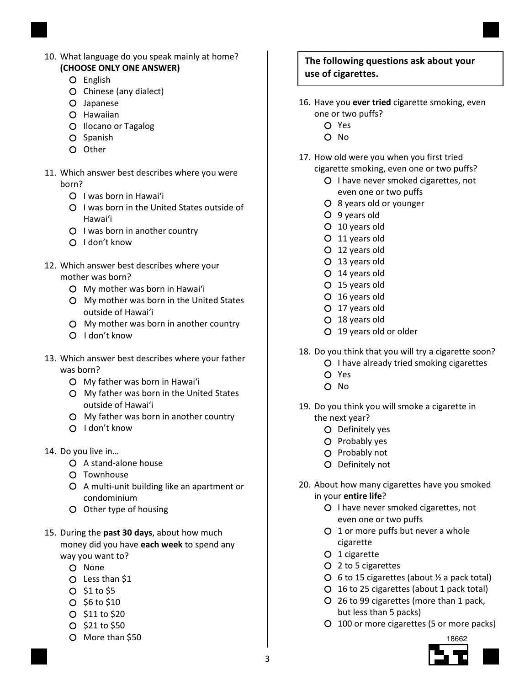- 10. What language do you speak mainly at home? (CHOOSE ONLY ONE ANSWER)
	- O English
	- Chinese (any dialect)
	- Japanese
	- O Hawaiian
	- O Ilocano or Tagalog
	- O Spanish
	- O Other
- 11. Which answer best describes where you were born?
	- O I was born in Hawai'i
	- O I was born in the United States outside of Hawai'i
	- Q I was born in another country
	- O I don't know
- 12. Which answer best describes where your mother was born?
	- My mother was born in Hawai'i
	- My mother was born in the United States outside of Hawai'i
	- My mother was born in another country
	- O I don't know
- 13. Which answer best describes where your father was born?
	- My father was born in Hawai'i
	- My father was born in the United States outside of Hawai'i
	- My father was born in another country
	- O I don't know
- 14. Do you live in…
	- A stand-alone house
	- Townhouse
	- A multi-unit building like an apartment or condominium
	- O Other type of housing
- 15. During the past 30 days, about how much money did you have each week to spend any way you want to?
	- O None
	- Less than \$1
	- \$1 to \$5
	- $O$  \$6 to \$10
	- $O$  \$11 to \$20
	- \$21 to \$50
	- O More than \$50

# The following questions ask about your use of cigarettes.

- 16. Have you ever tried cigarette smoking, even one or two puffs?
	- Yes
	- O No
- 17. How old were you when you first tried
	- cigarette smoking, even one or two puffs? O I have never smoked cigarettes, not even one or two puffs
		- 8 years old or younger
		- 9 years old
		- 10 years old
		- 11 years old
		- 12 years old
		- 13 years old
		- 14 years old
		- 15 years old
		- 16 years old
		- 17 years old
		- 18 years old
		- 19 years old or older
- 18. Do you think that you will try a cigarette soon?
	- O I have already tried smoking cigarettes
	- Yes
	- O No
- 19. Do you think you will smoke a cigarette in the next year?
	- Definitely yes
	- O Probably yes
	- O Probably not
	- Definitely not
- 20. About how many cigarettes have you smoked in your entire life?
	- O I have never smoked cigarettes, not even one or two puffs
	- 1 or more puffs but never a whole cigarette
	- O 1 cigarette
	- 2 to 5 cigarettes
	- $\overline{O}$  6 to 15 cigarettes (about  $\frac{1}{2}$  a pack total)
	- 16 to 25 cigarettes (about 1 pack total)
	- 26 to 99 cigarettes (more than 1 pack, but less than 5 packs)
	- 100 or more cigarettes (5 or more packs)

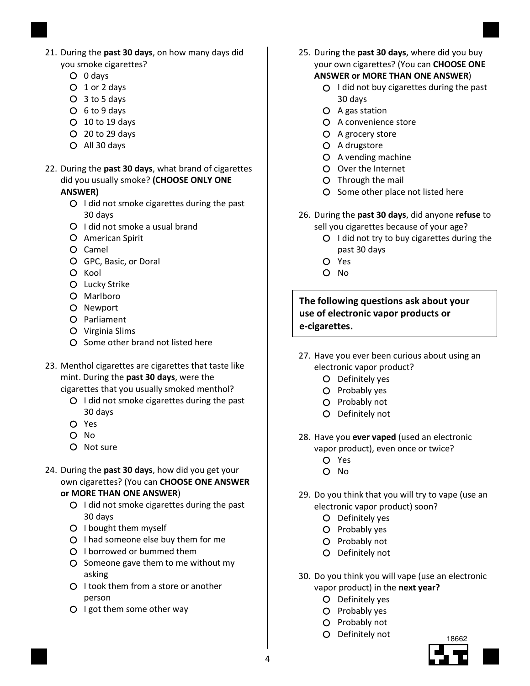- 21. During the past 30 days, on how many days did you smoke cigarettes?
	- 0 days
	- 1 or 2 days
	- 3 to 5 days
	- 6 to 9 days
	- 10 to 19 days
	- 20 to 29 days
	- All 30 days
- 22. During the past 30 days, what brand of cigarettes did you usually smoke? (CHOOSE ONLY ONE ANSWER)
	- O I did not smoke cigarettes during the past 30 days
	- O I did not smoke a usual brand
	- American Spirit
	- Camel
	- GPC, Basic, or Doral
	- O Kool
	- O Lucky Strike
	- O Marlboro
	- O Newport
	- O Parliament
	- Virginia Slims
	- O Some other brand not listed here
- 23. Menthol cigarettes are cigarettes that taste like mint. During the past 30 days, were the cigarettes that you usually smoked menthol?
	- O I did not smoke cigarettes during the past 30 days
	- Yes
	- $O$  No.
	- O Not sure
- 24. During the past 30 days, how did you get your own cigarettes? (You can CHOOSE ONE ANSWER or MORE THAN ONE ANSWER)
	-
	- O I did not smoke cigarettes during the past 30 days
	- O I bought them myself
	- O I had someone else buy them for me
	- I borrowed or bummed them
	- O Someone gave them to me without my asking
	- O I took them from a store or another person
	- O I got them some other way
- 25. During the past 30 days, where did you buy your own cigarettes? (You can CHOOSE ONE ANSWER or MORE THAN ONE ANSWER)
	- $O$  I did not buy cigarettes during the past 30 days
	- A gas station
	- O A convenience store
	- A grocery store
	- O A drugstore
	- A vending machine
	- Over the Internet
	- Through the mail
	- O Some other place not listed here
- 26. During the past 30 days, did anyone refuse to sell you cigarettes because of your age?
	- $O$  I did not try to buy cigarettes during the past 30 days
	- Yes
	- O No

The following questions ask about your use of electronic vapor products or e-cigarettes.

- 27. Have you ever been curious about using an
	- electronic vapor product?
		- Definitely yes
		- O Probably yes
		- O Probably not
		- Definitely not
- 28. Have you ever vaped (used an electronic vapor product), even once or twice?
	- Yes
	- O No
- 29. Do you think that you will try to vape (use an electronic vapor product) soon?
	- Definitely yes
	- O Probably yes
	- O Probably not
	- Definitely not
- 30. Do you think you will vape (use an electronic vapor product) in the next year?
	- Definitely yes
	- O Probably yes
	- O Probably not
	- O Definitely not

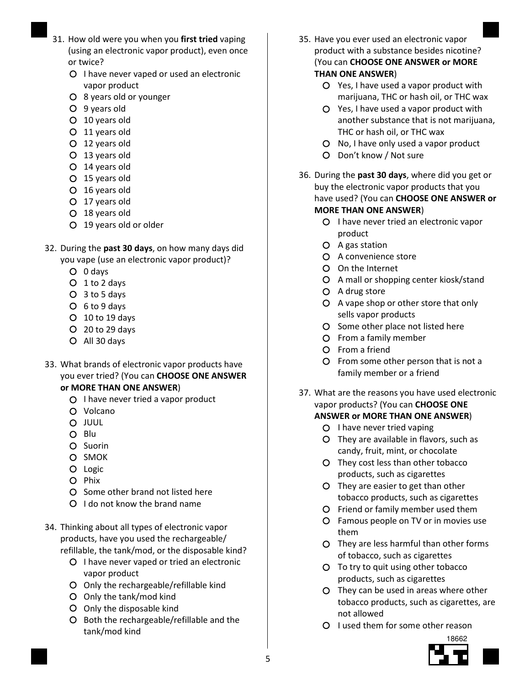- 31. How old were you when you first tried vaping (using an electronic vapor product), even once or twice?
	- O I have never vaped or used an electronic vapor product
	- 8 years old or younger
	- 9 years old
	- 10 years old
	- 11 years old
	- 12 years old
	- 13 years old
	- 14 years old
	- 15 years old
	- 16 years old
	- 17 years old
	- 18 years old
	- 19 years old or older
- 32. During the past 30 days, on how many days did you vape (use an electronic vapor product)?
	- 0 days
	- 1 to 2 days
	- 3 to 5 days
	- 6 to 9 days
	- 10 to 19 days
	- 20 to 29 days
	- All 30 days
- 33. What brands of electronic vapor products have you ever tried? (You can CHOOSE ONE ANSWER or MORE THAN ONE ANSWER)
	- O I have never tried a vapor product
	- Volcano
	- JUUL
	- O Blu
	- O Suorin
	- O SMOK
	- O Logic
	- O Phix
	- O Some other brand not listed here
	- O I do not know the brand name
- 34. Thinking about all types of electronic vapor products, have you used the rechargeable/ refillable, the tank/mod, or the disposable kind?
	- O I have never vaped or tried an electronic vapor product
	- Only the rechargeable/refillable kind
	- Only the tank/mod kind
	- Only the disposable kind
	- O Both the rechargeable/refillable and the tank/mod kind
- 35. Have you ever used an electronic vapor product with a substance besides nicotine? (You can CHOOSE ONE ANSWER or MORE THAN ONE ANSWER)
	- Yes, I have used a vapor product with marijuana, THC or hash oil, or THC wax
	- Yes, I have used a vapor product with another substance that is not marijuana, THC or hash oil, or THC wax
	- O No, I have only used a vapor product
	- Don't know / Not sure
- 36. During the past 30 days, where did you get or buy the electronic vapor products that you have used? (You can CHOOSE ONE ANSWER or MORE THAN ONE ANSWER)
	- O I have never tried an electronic vapor product
	- A gas station
	- A convenience store
	- On the Internet
	- A mall or shopping center kiosk/stand
	- O A drug store
	- A vape shop or other store that only sells vapor products
	- O Some other place not listed here
	- From a family member
	- O From a friend
	- From some other person that is not a family member or a friend
- 37. What are the reasons you have used electronic vapor products? (You can CHOOSE ONE ANSWER or MORE THAN ONE ANSWER)
	- O I have never tried vaping
	- They are available in flavors, such as candy, fruit, mint, or chocolate
	- They cost less than other tobacco products, such as cigarettes
	- They are easier to get than other tobacco products, such as cigarettes
	- Friend or family member used them
	- Famous people on TV or in movies use them
	- They are less harmful than other forms of tobacco, such as cigarettes
	- O To try to quit using other tobacco products, such as cigarettes
	- They can be used in areas where other tobacco products, such as cigarettes, are not allowed
	- O I used them for some other reason

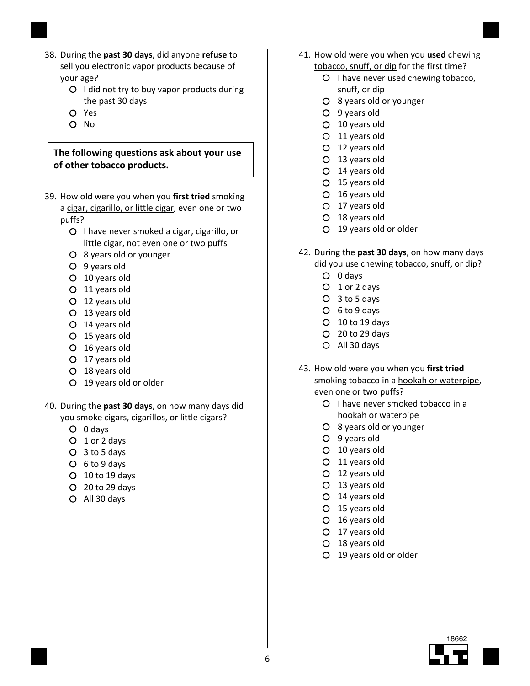- 38. During the past 30 days, did anyone refuse to sell you electronic vapor products because of your age?
	- O I did not try to buy vapor products during the past 30 days
	- Yes
	- O No

The following questions ask about your use of other tobacco products.

- 39. How old were you when you first tried smoking a cigar, cigarillo, or little cigar, even one or two puffs?
	- O I have never smoked a cigar, cigarillo, or little cigar, not even one or two puffs
	- 8 years old or younger
	- 9 years old
	- 10 years old
	- 11 years old
	- 12 years old
	- 13 years old
	- 14 years old
	- 15 years old
	- 16 years old
	- 17 years old
	- 18 years old
	- 19 years old or older
- 40. During the past 30 days, on how many days did you smoke cigars, cigarillos, or little cigars?
	- 0 days
	- 1 or 2 days
	- 3 to 5 days
	- 6 to 9 days
	- 10 to 19 days
	- 20 to 29 days
	- All 30 days
- 41. How old were you when you used chewing
	- tobacco, snuff, or dip for the first time?
		- O I have never used chewing tobacco, snuff, or dip
		- 8 years old or younger
		- 9 years old
		- 10 years old
		- 11 years old
		- 12 years old
		- 13 years old
		- 14 years old
		- 15 years old
		- 16 years old
		- 17 years old
		- 18 years old
		- 19 years old or older
- 42. During the past 30 days, on how many days did you use chewing tobacco, snuff, or dip?
	- 0 days
	- O 1 or 2 days
	- 3 to 5 days
	- 6 to 9 days
	- $O$  10 to 19 days
	- 20 to 29 days
	- All 30 days
- 43. How old were you when you first tried smoking tobacco in a hookah or waterpipe, even one or two puffs?
	- O I have never smoked tobacco in a hookah or waterpipe
	- 8 years old or younger
	- 9 years old
	- 10 years old
	- 11 years old
	- 12 years old
	- 13 years old
	- 14 years old
	- 15 years old
	- 16 years old
	- 17 years old
	- 18 years old
	- 19 years old or older

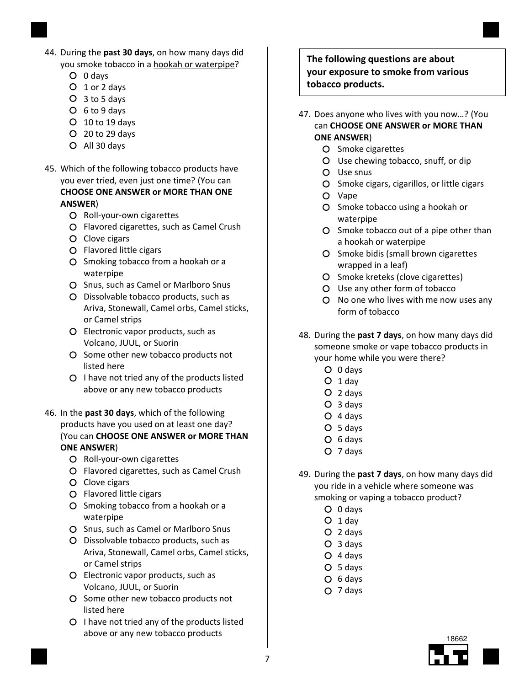- 44. During the past 30 days, on how many days did you smoke tobacco in a hookah or waterpipe?
	- 0 days
	- 1 or 2 days
	- 3 to 5 days
	- 6 to 9 days
	- 10 to 19 days
	- 20 to 29 days
	- All 30 days
- 45. Which of the following tobacco products have you ever tried, even just one time? (You can CHOOSE ONE ANSWER or MORE THAN ONE ANSWER)
	- O Roll-your-own cigarettes
	- Flavored cigarettes, such as Camel Crush
	- O Clove cigars
	- Flavored little cigars
	- O Smoking tobacco from a hookah or a waterpipe
	- O Snus, such as Camel or Marlboro Snus
	- Dissolvable tobacco products, such as Ariva, Stonewall, Camel orbs, Camel sticks, or Camel strips
	- Electronic vapor products, such as Volcano, JUUL, or Suorin
	- O Some other new tobacco products not listed here
	- O I have not tried any of the products listed above or any new tobacco products
- 46. In the past 30 days, which of the following products have you used on at least one day? (You can CHOOSE ONE ANSWER or MORE THAN ONE ANSWER)
	- O Roll-your-own cigarettes
	- Flavored cigarettes, such as Camel Crush
	- O Clove cigars
	- Flavored little cigars
	- O Smoking tobacco from a hookah or a waterpipe
	- O Snus, such as Camel or Marlboro Snus
	- Dissolvable tobacco products, such as Ariva, Stonewall, Camel orbs, Camel sticks, or Camel strips
	- Electronic vapor products, such as Volcano, JUUL, or Suorin
	- O Some other new tobacco products not listed here
	- $O$  I have not tried any of the products listed above or any new tobacco products

The following questions are about your exposure to smoke from various tobacco products.

- 47. Does anyone who lives with you now…? (You can CHOOSE ONE ANSWER or MORE THAN ONE ANSWER)
	- O Smoke cigarettes
	- Use chewing tobacco, snuff, or dip
	- Use snus
	- O Smoke cigars, cigarillos, or little cigars
	- Vape
	- O Smoke tobacco using a hookah or waterpipe
	- O Smoke tobacco out of a pipe other than a hookah or waterpipe
	- O Smoke bidis (small brown cigarettes wrapped in a leaf)
	- O Smoke kreteks (clove cigarettes)
	- Use any other form of tobacco
	- O No one who lives with me now uses any form of tobacco
- 48. During the past 7 days, on how many days did someone smoke or vape tobacco products in your home while you were there?
	- 0 days
	- $O_1$  day
	- 2 days
	- 3 days
	- 4 days
	- 5 days
	- 6 days
	- 7 days
- 49. During the past 7 days, on how many days did you ride in a vehicle where someone was smoking or vaping a tobacco product?
	- 0 days
	- $O_1$  day
	- 2 days
	- 3 days
	- $O$  4 days
	- 5 days
	- 6 days
	- 7 days

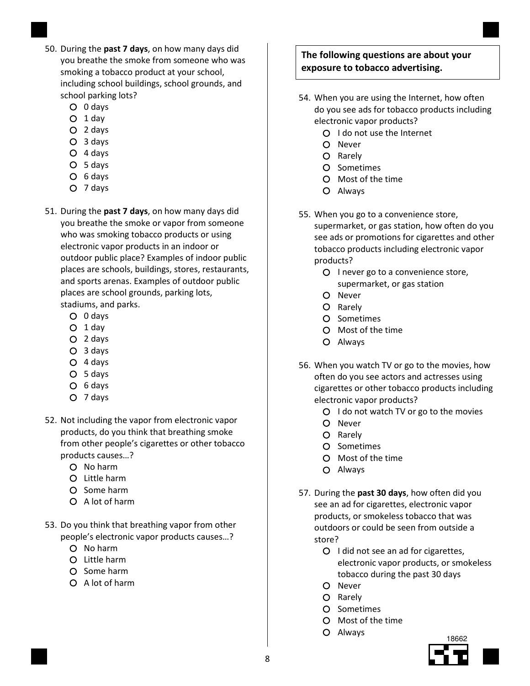- 50. During the past 7 days, on how many days did you breathe the smoke from someone who was smoking a tobacco product at your school, including school buildings, school grounds, and school parking lots?
	- 0 days
	- $O$  1 day
	- 2 days
	- 3 days
	- 4 days
	- 5 days
	- O 6 days
	- 7 days
- 51. During the past 7 days, on how many days did you breathe the smoke or vapor from someone who was smoking tobacco products or using electronic vapor products in an indoor or outdoor public place? Examples of indoor public places are schools, buildings, stores, restaurants, and sports arenas. Examples of outdoor public places are school grounds, parking lots, stadiums, and parks.
	- 0 days
	- $O$  1 day
	- 2 days
	- 3 days
	- 4 days
	- 5 days
	- O 6 days
	- 7 days
- 52. Not including the vapor from electronic vapor products, do you think that breathing smoke from other people's cigarettes or other tobacco products causes…?
	- No harm
	- $O$  Little harm
	- O Some harm
	- A lot of harm
- 53. Do you think that breathing vapor from other people's electronic vapor products causes…?
	- O No harm
	- Little harm
	- O Some harm
	- A lot of harm

# The following questions are about your exposure to tobacco advertising.

- 54. When you are using the Internet, how often do you see ads for tobacco products including electronic vapor products?
	- $O$  I do not use the Internet
	- O Never
	- O Rarely
	- O Sometimes
	- Most of the time
	- Always
- 55. When you go to a convenience store, supermarket, or gas station, how often do you see ads or promotions for cigarettes and other tobacco products including electronic vapor products?
	- O I never go to a convenience store, supermarket, or gas station
	- O Never
	- O Rarely
	- O Sometimes
	- Most of the time
	- Always
- 56. When you watch TV or go to the movies, how often do you see actors and actresses using cigarettes or other tobacco products including electronic vapor products?
	- $O$  I do not watch TV or go to the movies
	- O Never
	- O Rarely
	- O Sometimes
	- Most of the time
	- Always
- 57. During the past 30 days, how often did you see an ad for cigarettes, electronic vapor products, or smokeless tobacco that was outdoors or could be seen from outside a store?
	- O I did not see an ad for cigarettes, electronic vapor products, or smokeless tobacco during the past 30 days
	- O Never
	- O Rarely
	- O Sometimes
	- Most of the time
	- Always

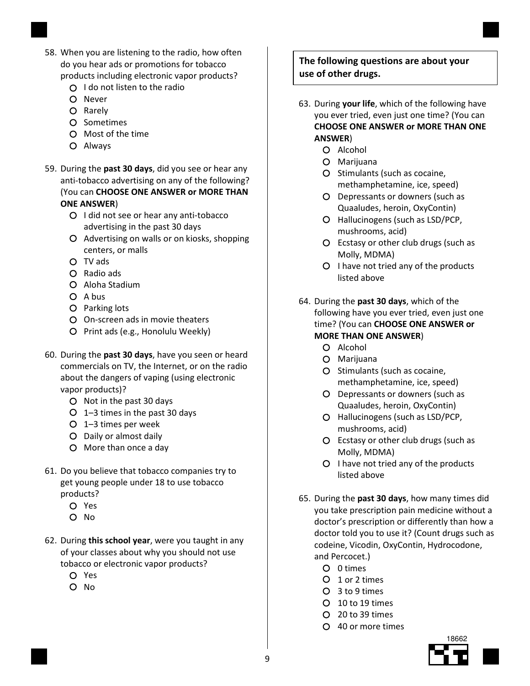- 58. When you are listening to the radio, how often do you hear ads or promotions for tobacco products including electronic vapor products?
	- Q I do not listen to the radio
	- O Never
	- O Rarely
	- O Sometimes
	- Most of the time
	- Always
- 59. During the past 30 days, did you see or hear any anti-tobacco advertising on any of the following? (You can CHOOSE ONE ANSWER or MORE THAN ONE ANSWER)
	- O I did not see or hear any anti-tobacco advertising in the past 30 days
	- Advertising on walls or on kiosks, shopping centers, or malls
	- TV ads
	- Radio ads
	- Aloha Stadium
	- O A bus
	- O Parking lots
	- On-screen ads in movie theaters
	- O Print ads (e.g., Honolulu Weekly)
- 60. During the past 30 days, have you seen or heard commercials on TV, the Internet, or on the radio about the dangers of vaping (using electronic vapor products)?
	- O Not in the past 30 days
	- 1–3 times in the past 30 days
	- 1–3 times per week
	- Daily or almost daily
	- More than once a day
- 61. Do you believe that tobacco companies try to get young people under 18 to use tobacco products?
	- Yes
	- $O$  No
- 62. During this school year, were you taught in any of your classes about why you should not use tobacco or electronic vapor products?
	- Yes
	- O No

# The following questions are about your use of other drugs.

- 63. During your life, which of the following have you ever tried, even just one time? (You can CHOOSE ONE ANSWER or MORE THAN ONE ANSWER)
	- O Alcohol
	- Marijuana
	- O Stimulants (such as cocaine, methamphetamine, ice, speed)
	- Depressants or downers (such as Quaaludes, heroin, OxyContin)
	- Hallucinogens (such as LSD/PCP, mushrooms, acid)
	- Ecstasy or other club drugs (such as Molly, MDMA)
	- O I have not tried any of the products listed above
- 64. During the past 30 days, which of the following have you ever tried, even just one time? (You can CHOOSE ONE ANSWER or MORE THAN ONE ANSWER)
	- O Alcohol
	- Marijuana
	- O Stimulants (such as cocaine, methamphetamine, ice, speed)
	- Depressants or downers (such as Quaaludes, heroin, OxyContin)
	- Hallucinogens (such as LSD/PCP, mushrooms, acid)
	- Ecstasy or other club drugs (such as Molly, MDMA)
	- $O$  I have not tried any of the products listed above
- 65. During the past 30 days, how many times did you take prescription pain medicine without a doctor's prescription or differently than how a doctor told you to use it? (Count drugs such as codeine, Vicodin, OxyContin, Hydrocodone, and Percocet.)
	- 0 times
	- 1 or 2 times
	- 3 to 9 times
	- 10 to 19 times
	- 20 to 39 times
	- 40 or more times

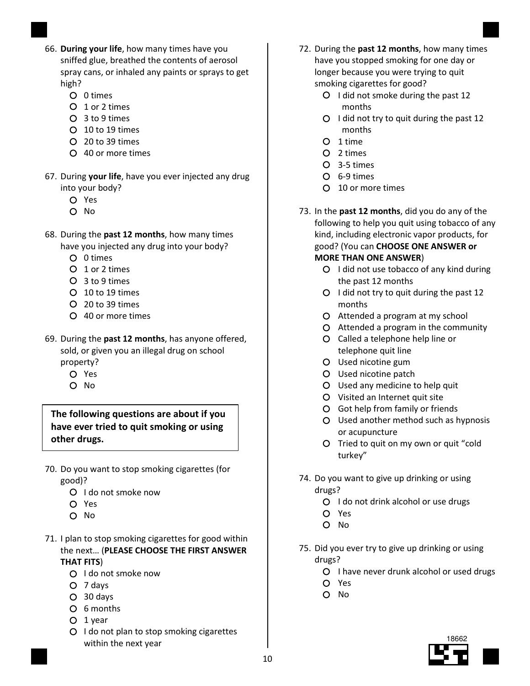- 66. During your life, how many times have you sniffed glue, breathed the contents of aerosol spray cans, or inhaled any paints or sprays to get high?
	- O 0 times
	- O 1 or 2 times
	- 3 to 9 times
	- 10 to 19 times
	- 20 to 39 times
	- 40 or more times
- 67. During your life, have you ever injected any drug into your body?
	- Yes
	- O No
- 68. During the past 12 months, how many times have you injected any drug into your body?
	- O 0 times
	- O 1 or 2 times
	- 3 to 9 times
	- 10 to 19 times
	- 20 to 39 times
	- 40 or more times
- 69. During the past 12 months, has anyone offered, sold, or given you an illegal drug on school property?
	- Yes
	- O No

The following questions are about if you have ever tried to quit smoking or using other drugs.

- 70. Do you want to stop smoking cigarettes (for good)?
	- O I do not smoke now
	- Yes
	- O No
- 71. I plan to stop smoking cigarettes for good within the next… (PLEASE CHOOSE THE FIRST ANSWER THAT FITS)
	- O I do not smoke now
	- 7 days
	- 30 days
	- 6 months
	- $O$  1 year
	- O I do not plan to stop smoking cigarettes within the next year
- 72. During the past 12 months, how many times have you stopped smoking for one day or longer because you were trying to quit smoking cigarettes for good?
	- O I did not smoke during the past 12 months
	- O I did not try to quit during the past 12 months
	- O 1 time
	- 2 times
	- 3-5 times
	- 6-9 times
	- 10 or more times
- 73. In the past 12 months, did you do any of the following to help you quit using tobacco of any kind, including electronic vapor products, for good? (You can CHOOSE ONE ANSWER or MORE THAN ONE ANSWER)
	- O I did not use tobacco of any kind during the past 12 months
	- $O$  I did not try to quit during the past 12 months
	- Attended a program at my school
	- Attended a program in the community
	- Called a telephone help line or telephone quit line
	- Used nicotine gum
	- Used nicotine patch
	- Used any medicine to help quit
	- Visited an Internet quit site
	- Got help from family or friends
	- Used another method such as hypnosis or acupuncture
	- O Tried to quit on my own or quit "cold" turkey"
- 74. Do you want to give up drinking or using drugs?
	- O I do not drink alcohol or use drugs
	- Yes
	- O No
- 75. Did you ever try to give up drinking or using drugs?
	- O I have never drunk alcohol or used drugs
	- Yes
	- O No

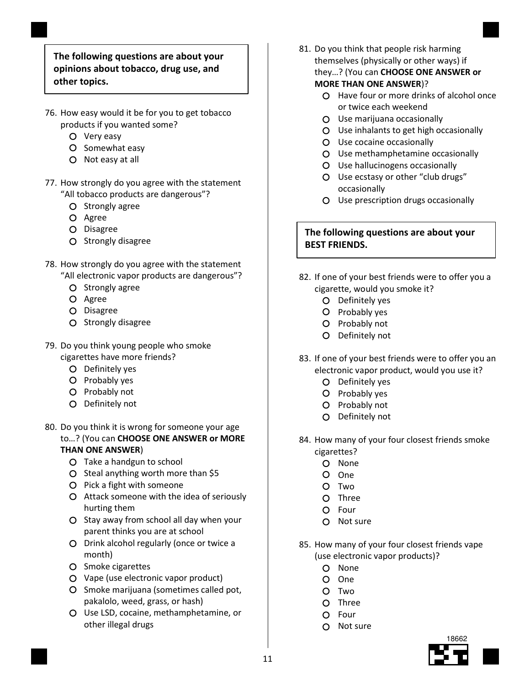### The following questions are about your opinions about tobacco, drug use, and other topics.

- 76. How easy would it be for you to get tobacco products if you wanted some?
	- O Very easy
	- O Somewhat easy
	- Not easy at all
- 77. How strongly do you agree with the statement "All tobacco products are dangerous"?
	- O Strongly agree
	- O Agree
	- O Disagree
	- O Strongly disagree
- 78. How strongly do you agree with the statement "All electronic vapor products are dangerous"?
	- O Strongly agree
	- O Agree
	- O Disagree
	- O Strongly disagree
- 79. Do you think young people who smoke
	- cigarettes have more friends?
		- Definitely yes
		- O Probably yes
		- O Probably not
		- O Definitely not
- 80. Do you think it is wrong for someone your age to…? (You can CHOOSE ONE ANSWER or MORE

# THAN ONE ANSWER)

- Take a handgun to school
- O Steal anything worth more than \$5
- O Pick a fight with someone
- Attack someone with the idea of seriously hurting them
- $O$  Stay away from school all day when your parent thinks you are at school
- Drink alcohol regularly (once or twice a month)
- O Smoke cigarettes
- Vape (use electronic vapor product)
- O Smoke marijuana (sometimes called pot, pakalolo, weed, grass, or hash)
- Use LSD, cocaine, methamphetamine, or other illegal drugs
- 81. Do you think that people risk harming themselves (physically or other ways) if they…? (You can CHOOSE ONE ANSWER or MORE THAN ONE ANSWER)?
	- Have four or more drinks of alcohol once or twice each weekend
	- Use marijuana occasionally
	- Use inhalants to get high occasionally
	- Use cocaine occasionally
	- Use methamphetamine occasionally
	- Use hallucinogens occasionally
	- Use ecstasy or other "club drugs" occasionally
	- Use prescription drugs occasionally

# The following questions are about your BEST FRIENDS.

- 82. If one of your best friends were to offer you a cigarette, would you smoke it?
	- O Definitely yes
	- O Probably yes
	- O Probably not
	- O Definitely not
- 83. If one of your best friends were to offer you an electronic vapor product, would you use it?
	- O Definitely yes
	- O Probably yes
	- O Probably not
	- O Definitely not
- 84. How many of your four closest friends smoke cigarettes?
	- O None
	- One
	- O Two
	- O Three
	- Four
	- Not sure
- 85. How many of your four closest friends vape (use electronic vapor products)?
	- O None
	- One
	- O Two
	- O Three
	- O Four
	- $\Omega$  Not sure

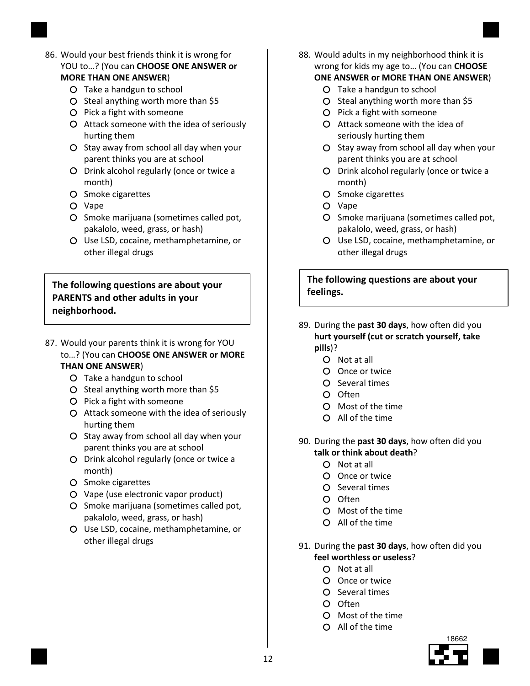- 86. Would your best friends think it is wrong for YOU to...? (You can CHOOSE ONE ANSWER or MORE THAN ONE ANSWER)
	- Take a handgun to school
	- O Steal anything worth more than \$5
	- O Pick a fight with someone
	- Attack someone with the idea of seriously hurting them
	- O Stay away from school all day when your parent thinks you are at school
	- O Drink alcohol regularly (once or twice a month)
	- O Smoke cigarettes
	- O Vape
	- O Smoke marijuana (sometimes called pot, pakalolo, weed, grass, or hash)
	- Use LSD, cocaine, methamphetamine, or other illegal drugs

The following questions are about your PARENTS and other adults in your neighborhood.

- 87. Would your parents think it is wrong for YOU to…? (You can CHOOSE ONE ANSWER or MORE THAN ONE ANSWER)
	- Take a handgun to school
	- O Steal anything worth more than \$5
	- O Pick a fight with someone
	- Attack someone with the idea of seriously hurting them
	- O Stay away from school all day when your parent thinks you are at school
	- O Drink alcohol regularly (once or twice a month)
	- O Smoke cigarettes
	- Vape (use electronic vapor product)
	- O Smoke marijuana (sometimes called pot, pakalolo, weed, grass, or hash)
	- Use LSD, cocaine, methamphetamine, or other illegal drugs
- 88. Would adults in my neighborhood think it is wrong for kids my age to… (You can CHOOSE
	- ONE ANSWER or MORE THAN ONE ANSWER)
		- Take a handgun to school
		- $O$  Steal anything worth more than \$5
		- O Pick a fight with someone
		- Attack someone with the idea of seriously hurting them
		- O Stay away from school all day when your parent thinks you are at school
		- O Drink alcohol regularly (once or twice a month)
		- O Smoke cigarettes
		- Vape
		- O Smoke marijuana (sometimes called pot, pakalolo, weed, grass, or hash)
		- Use LSD, cocaine, methamphetamine, or other illegal drugs

The following questions are about your feelings.

- 89. During the past 30 days, how often did you hurt yourself (cut or scratch yourself, take pills)?
	- O Not at all
	- Once or twice
	- O Several times
	- O Often
	- Most of the time
	- All of the time
- 90. During the past 30 days, how often did you talk or think about death?
	- Not at all
	- Once or twice
	- O Several times
	- $O$  Often
	- Most of the time
	- All of the time
- 91. During the past 30 days, how often did you feel worthless or useless?
	- Not at all
	- O Once or twice
	- O Several times
	- O Often
	- Most of the time
	- All of the time